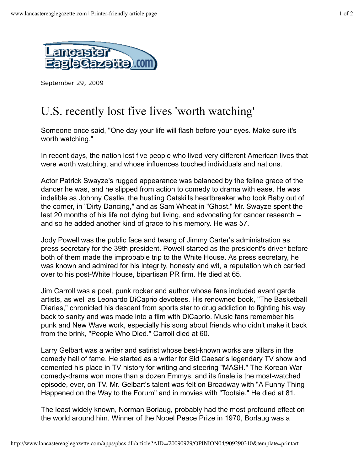

September 29, 2009

## U.S. recently lost five lives 'worth watching'

Someone once said, "One day your life will flash before your eyes. Make sure it's worth watching."

In recent days, the nation lost five people who lived very different American lives that were worth watching, and whose influences touched individuals and nations.

Actor Patrick Swayze's rugged appearance was balanced by the feline grace of the dancer he was, and he slipped from action to comedy to drama with ease. He was indelible as Johnny Castle, the hustling Catskills heartbreaker who took Baby out of the corner, in "Dirty Dancing," and as Sam Wheat in "Ghost." Mr. Swayze spent the last 20 months of his life not dying but living, and advocating for cancer research - and so he added another kind of grace to his memory. He was 57.

Jody Powell was the public face and twang of Jimmy Carter's administration as press secretary for the 39th president. Powell started as the president's driver before both of them made the improbable trip to the White House. As press secretary, he was known and admired for his integrity, honesty and wit, a reputation which carried over to his post-White House, bipartisan PR firm. He died at 65.

Jim Carroll was a poet, punk rocker and author whose fans included avant garde artists, as well as Leonardo DiCaprio devotees. His renowned book, "The Basketball Diaries," chronicled his descent from sports star to drug addiction to fighting his way back to sanity and was made into a film with DiCaprio. Music fans remember his punk and New Wave work, especially his song about friends who didn't make it back from the brink, "People Who Died." Carroll died at 60.

Larry Gelbart was a writer and satirist whose best-known works are pillars in the comedy hall of fame. He started as a writer for Sid Caesar's legendary TV show and cemented his place in TV history for writing and steering "MASH." The Korean War comedy-drama won more than a dozen Emmys, and its finale is the most-watched episode, ever, on TV. Mr. Gelbart's talent was felt on Broadway with "A Funny Thing Happened on the Way to the Forum" and in movies with "Tootsie." He died at 81.

The least widely known, Norman Borlaug, probably had the most profound effect on the world around him. Winner of the Nobel Peace Prize in 1970, Borlaug was a